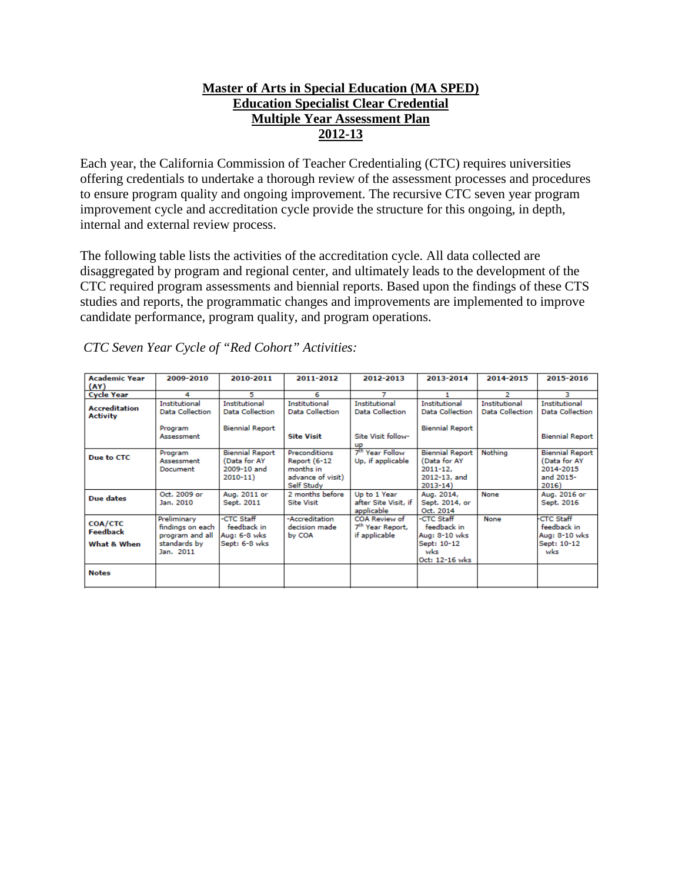## **Master of Arts in Special Education (MA SPED) Education Specialist Clear Credential Multiple Year Assessment Plan 2012-13**

Each year, the California Commission of Teacher Credentialing (CTC) requires universities offering credentials to undertake a thorough review of the assessment processes and procedures to ensure program quality and ongoing improvement. The recursive CTC seven year program improvement cycle and accreditation cycle provide the structure for this ongoing, in depth, internal and external review process.

The following table lists the activities of the accreditation cycle. All data collected are disaggregated by program and regional center, and ultimately leads to the development of the CTC required program assessments and biennial reports. Based upon the findings of these CTS studies and reports, the programmatic changes and improvements are implemented to improve candidate performance, program quality, and program operations.

| <b>Academic Year</b><br>(AY)                     | 2009-2010                                                                       | 2010-2011                                                                | 2011-2012                                                                     | 2012-2013                                                                  | 2013-2014                                                                             | 2014-2015                               | 2015-2016                                                                 |
|--------------------------------------------------|---------------------------------------------------------------------------------|--------------------------------------------------------------------------|-------------------------------------------------------------------------------|----------------------------------------------------------------------------|---------------------------------------------------------------------------------------|-----------------------------------------|---------------------------------------------------------------------------|
| <b>Cycle Year</b>                                | 4                                                                               | 5                                                                        | 6                                                                             |                                                                            |                                                                                       | 2                                       | з                                                                         |
| <b>Accreditation</b><br><b>Activity</b>          | <b>Institutional</b><br><b>Data Collection</b><br>Program<br>Assessment         | <b>Institutional</b><br><b>Data Collection</b><br><b>Biennial Report</b> | <b>Institutional</b><br>Data Collection<br><b>Site Visit</b>                  | <b>Institutional</b><br>Data Collection<br>Site Visit follow-<br><b>UP</b> | <b>Institutional</b><br>Data Collection<br><b>Biennial Report</b>                     | <b>Institutional</b><br>Data Collection | <b>Institutional</b><br><b>Data Collection</b><br><b>Biennial Report</b>  |
| Due to CTC                                       | Program<br>Assessment<br>Document                                               | <b>Biennial Report</b><br>(Data for AY<br>2009-10 and<br>$2010 - 11$     | Preconditions<br>Report (6-12<br>months in<br>advance of visit)<br>Self Study | 7 <sup>th</sup> Year Follow<br>Up, if applicable                           | <b>Biennial Report</b><br>(Data for AY<br>$2011 - 12.$<br>2012-13, and<br>$2013 - 14$ | Nothing                                 | <b>Biennial Report</b><br>(Data for AY<br>2014-2015<br>and 2015-<br>2016) |
| Due dates                                        | Oct. 2009 or<br>Jan. 2010                                                       | Aug. 2011 or<br>Sept. 2011                                               | 2 months before<br><b>Site Visit</b>                                          | Up to 1 Year<br>after Site Visit, if<br>applicable                         | Aug. 2014,<br>Sept. 2014, or<br>Oct. 2014                                             | None                                    | Aug. 2016 or<br>Sept. 2016                                                |
| <b>COA/CTC</b><br><b>Feedback</b><br>What & When | Preliminary<br>findings on each<br>program and all<br>standards by<br>Jan. 2011 | -CTC Staff<br>feedback in<br>Aug: 6-8 wks<br>Sept: 6-8 wks               | -Accreditation<br>decision made.<br>by COA                                    | <b>COA Review of</b><br>7 <sup>th</sup> Year Report,<br>if applicable      | -CTC Staff<br>feedback in<br>Aug: 8-10 wks<br>Sept: 10-12<br>wks<br>Oct: 12-16 wks    | None                                    | <b>CTC Staff</b><br>feedback in<br>Aug: 8-10 wks<br>Sept: 10-12<br>wks    |
| <b>Notes</b>                                     |                                                                                 |                                                                          |                                                                               |                                                                            |                                                                                       |                                         |                                                                           |

*CTC Seven Year Cycle of "Red Cohort" Activities:*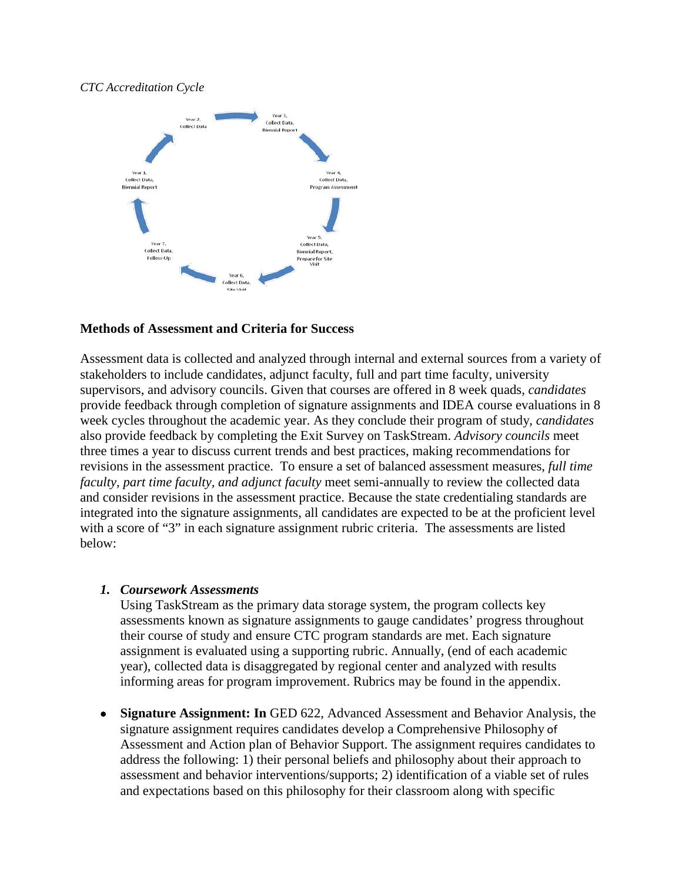#### *CTC Accreditation Cycle*



### **Methods of Assessment and Criteria for Success**

Assessment data is collected and analyzed through internal and external sources from a variety of stakeholders to include candidates, adjunct faculty, full and part time faculty, university supervisors, and advisory councils. Given that courses are offered in 8 week quads, *candidates* provide feedback through completion of signature assignments and IDEA course evaluations in 8 week cycles throughout the academic year. As they conclude their program of study, *candidates* also provide feedback by completing the Exit Survey on TaskStream. *Advisory councils* meet three times a year to discuss current trends and best practices, making recommendations for revisions in the assessment practice. To ensure a set of balanced assessment measures, *full time faculty, part time faculty, and adjunct faculty* meet semi-annually to review the collected data and consider revisions in the assessment practice. Because the state credentialing standards are integrated into the signature assignments, all candidates are expected to be at the proficient level with a score of "3" in each signature assignment rubric criteria. The assessments are listed below:

### *1. Coursework Assessments*

Using TaskStream as the primary data storage system, the program collects key assessments known as signature assignments to gauge candidates' progress throughout their course of study and ensure CTC program standards are met. Each signature assignment is evaluated using a supporting rubric. Annually, (end of each academic year), collected data is disaggregated by regional center and analyzed with results informing areas for program improvement. Rubrics may be found in the appendix.

• **Signature Assignment: In** GED 622, Advanced Assessment and Behavior Analysis, the signature assignment requires candidates develop a Comprehensive Philosophy of Assessment and Action plan of Behavior Support. The assignment requires candidates to address the following: 1) their personal beliefs and philosophy about their approach to assessment and behavior interventions/supports; 2) identification of a viable set of rules and expectations based on this philosophy for their classroom along with specific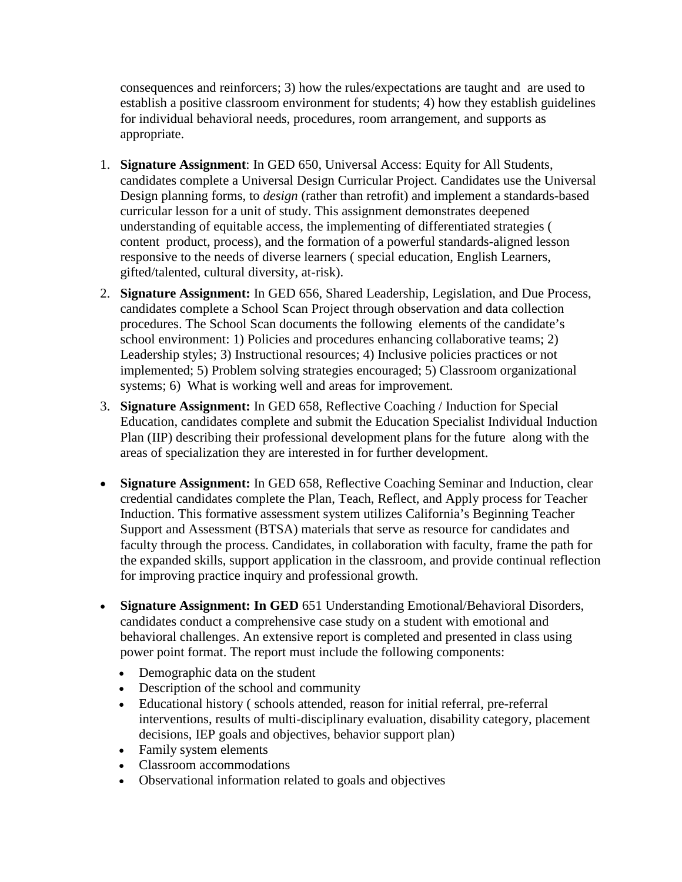consequences and reinforcers; 3) how the rules/expectations are taught and are used to establish a positive classroom environment for students; 4) how they establish guidelines for individual behavioral needs, procedures, room arrangement, and supports as appropriate.

- 1. **Signature Assignment**: In GED 650, Universal Access: Equity for All Students, candidates complete a Universal Design Curricular Project. Candidates use the Universal Design planning forms, to *design* (rather than retrofit) and implement a standards-based curricular lesson for a unit of study. This assignment demonstrates deepened understanding of equitable access, the implementing of differentiated strategies ( content product, process), and the formation of a powerful standards-aligned lesson responsive to the needs of diverse learners ( special education, English Learners, gifted/talented, cultural diversity, at-risk).
- 2. **Signature Assignment:** In GED 656, Shared Leadership, Legislation, and Due Process, candidates complete a School Scan Project through observation and data collection procedures. The School Scan documents the following elements of the candidate's school environment: 1) Policies and procedures enhancing collaborative teams; 2) Leadership styles; 3) Instructional resources; 4) Inclusive policies practices or not implemented; 5) Problem solving strategies encouraged; 5) Classroom organizational systems; 6) What is working well and areas for improvement.
- 3. **Signature Assignment:** In GED 658, Reflective Coaching / Induction for Special Education, candidates complete and submit the Education Specialist Individual Induction Plan (IIP) describing their professional development plans for the future along with the areas of specialization they are interested in for further development.
- **Signature Assignment:** In GED 658, Reflective Coaching Seminar and Induction, clear credential candidates complete the Plan, Teach, Reflect, and Apply process for Teacher Induction. This formative assessment system utilizes California's Beginning Teacher Support and Assessment (BTSA) materials that serve as resource for candidates and faculty through the process. Candidates, in collaboration with faculty, frame the path for the expanded skills, support application in the classroom, and provide continual reflection for improving practice inquiry and professional growth.
- **Signature Assignment: In GED** 651 Understanding Emotional/Behavioral Disorders, candidates conduct a comprehensive case study on a student with emotional and behavioral challenges. An extensive report is completed and presented in class using power point format. The report must include the following components:
	- Demographic data on the student
	- Description of the school and community
	- Educational history ( schools attended, reason for initial referral, pre-referral interventions, results of multi-disciplinary evaluation, disability category, placement decisions, IEP goals and objectives, behavior support plan)
	- Family system elements
	- Classroom accommodations
	- Observational information related to goals and objectives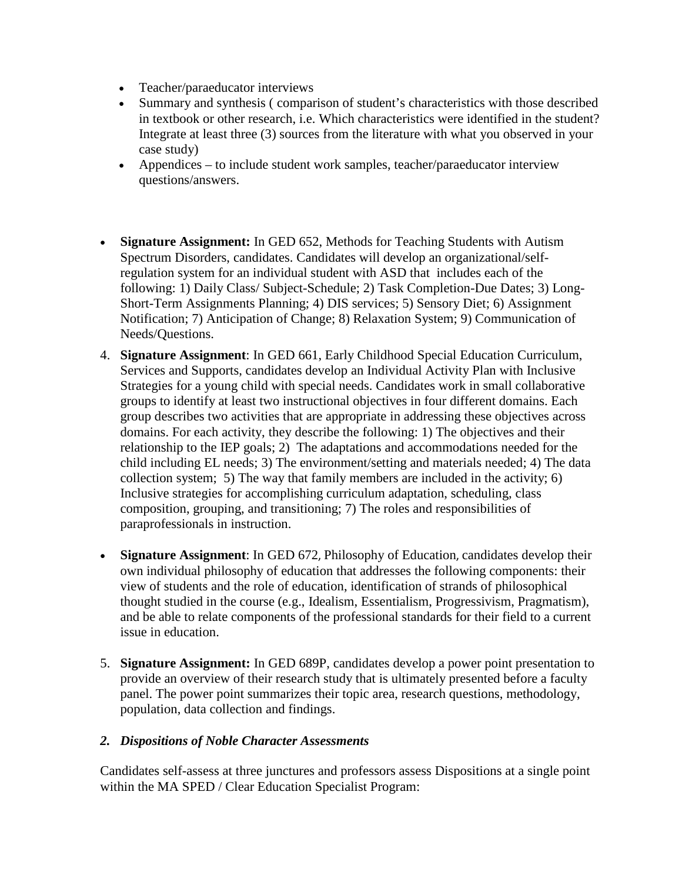- Teacher/paraeducator interviews
- Summary and synthesis ( comparison of student's characteristics with those described in textbook or other research, i.e. Which characteristics were identified in the student? Integrate at least three (3) sources from the literature with what you observed in your case study)
- Appendices to include student work samples, teacher/paraeducator interview questions/answers.
- **Signature Assignment:** In GED 652, Methods for Teaching Students with Autism Spectrum Disorders, candidates. Candidates will develop an organizational/selfregulation system for an individual student with ASD that includes each of the following: 1) Daily Class/ Subject-Schedule; 2) Task Completion-Due Dates; 3) Long-Short-Term Assignments Planning; 4) DIS services; 5) Sensory Diet; 6) Assignment Notification; 7) Anticipation of Change; 8) Relaxation System; 9) Communication of Needs/Questions.
- 4. **Signature Assignment**: In GED 661, Early Childhood Special Education Curriculum, Services and Supports, candidates develop an Individual Activity Plan with Inclusive Strategies for a young child with special needs. Candidates work in small collaborative groups to identify at least two instructional objectives in four different domains. Each group describes two activities that are appropriate in addressing these objectives across domains. For each activity, they describe the following: 1) The objectives and their relationship to the IEP goals; 2) The adaptations and accommodations needed for the child including EL needs; 3) The environment/setting and materials needed; 4) The data collection system; 5) The way that family members are included in the activity; 6) Inclusive strategies for accomplishing curriculum adaptation, scheduling, class composition, grouping, and transitioning; 7) The roles and responsibilities of paraprofessionals in instruction.
- **Signature Assignment**: In GED 672, Philosophy of Education, candidates develop their own individual philosophy of education that addresses the following components: their view of students and the role of education, identification of strands of philosophical thought studied in the course (e.g., Idealism, Essentialism, Progressivism, Pragmatism), and be able to relate components of the professional standards for their field to a current issue in education.
- 5. **Signature Assignment:** In GED 689P, candidates develop a power point presentation to provide an overview of their research study that is ultimately presented before a faculty panel. The power point summarizes their topic area, research questions, methodology, population, data collection and findings.

## *2. Dispositions of Noble Character Assessments*

Candidates self-assess at three junctures and professors assess Dispositions at a single point within the MA SPED / Clear Education Specialist Program: